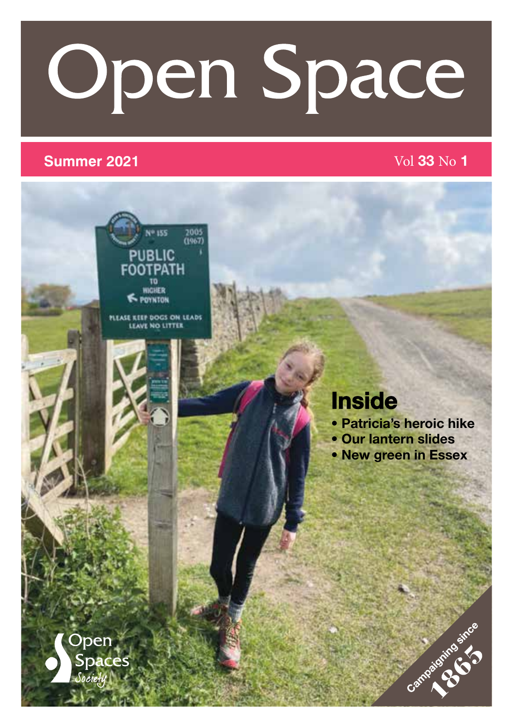# **Open Space**

### **Summer 2021** Vol 33 No 1



**PLEASE KEEP DOGS ON LEADS** 

### Inside

- Patricia's heroic hike
- Our lantern slides
- New green in Essex

Campaignee St.

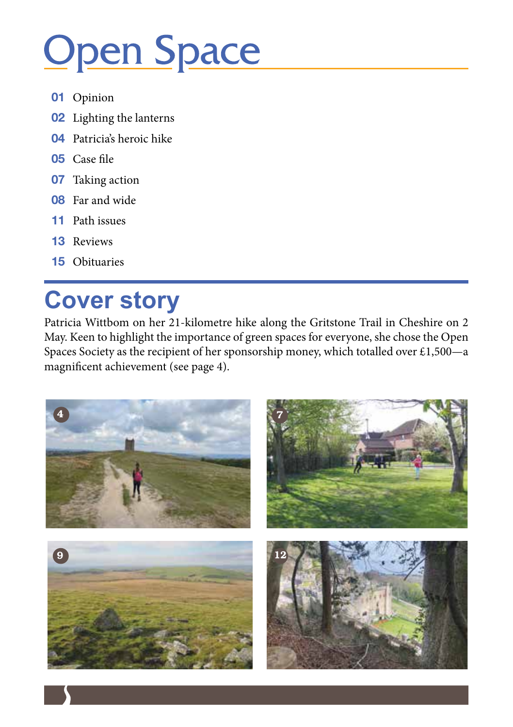# **Open Space**

- Opinion
- Lighting the lanterns
- Patricia's heroic hike
- Case file
- Taking action
- Far and wide
- Path issues
- Reviews
- Obituaries

### **Cover story**

Patricia Wittbom on her 21-kilometre hike along the Gritstone Trail in Cheshire on 2 May. Keen to highlight the importance of green spaces for everyone, she chose the Open Spaces Society as the recipient of her sponsorship money, which totalled over £1,500—a magnificent achievement (see page 4).

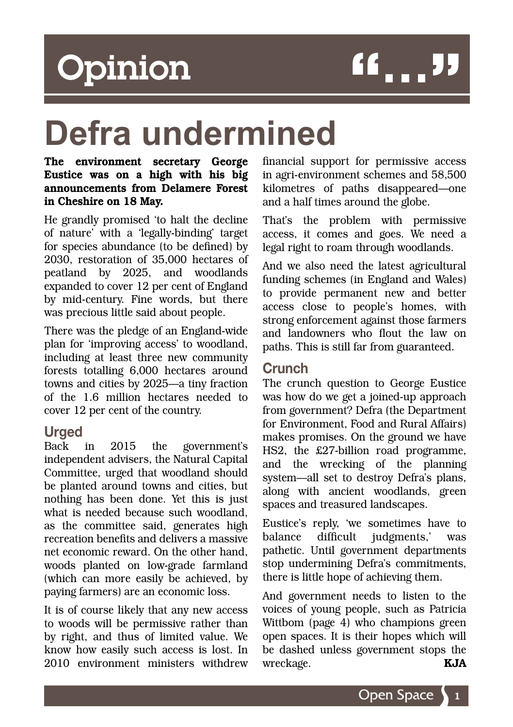### Opinion

## "'''

### **Defra undermined**

#### The environment secretary George Eustice was on a high with his big announcements from Delamere Forest in Cheshire on 18 May.

He grandly promised 'to halt the decline of nature' with a 'legally-binding' target for species abundance (to be defined) by 2030, restoration of 35,000 hectares of peatland by 2025, and woodlands expanded to cover 12 per cent of England by mid-century. Fine words, but there was precious little said about people.

There was the pledge of an England-wide plan for 'improving access' to woodland, including at least three new community forests totalling 6,000 hectares around towns and cities by 2025––a tiny fraction of the 1.6 million hectares needed to cover 12 per cent of the country.

#### **Urged**

Back in 2015 the government's independent advisers, the Natural Capital Committee, urged that woodland should be planted around towns and cities, but nothing has been done. Yet this is just what is needed because such woodland, as the committee said, generates high recreation benefits and delivers a massive net economic reward. On the other hand, woods planted on low-grade farmland (which can more easily be achieved, by paying farmers) are an economic loss.

It is of course likely that any new access to woods will be permissive rather than by right, and thus of limited value. We know how easily such access is lost. In 2010 environment ministers withdrew financial support for permissive access in agri-environment schemes and 58,500 kilometres of paths disappeared––one and a half times around the globe.

That's the problem with permissive access, it comes and goes. We need a legal right to roam through woodlands.

And we also need the latest agricultural funding schemes (in England and Wales) to provide permanent new and better access close to people's homes, with strong enforcement against those farmers and landowners who flout the law on paths. This is still far from guaranteed.

#### Crunch

The crunch question to George Eustice was how do we get a joined-up approach from government? Defra (the Department for Environment, Food and Rural Affairs) makes promises. On the ground we have HS2, the £27-billion road programme, and the wrecking of the planning system—all set to destroy Defra's plans, along with ancient woodlands, green spaces and treasured landscapes.

Eustice's reply, 'we sometimes have to balance difficult judgments,' was pathetic. Until government departments stop undermining Defra's commitments, there is little hope of achieving them.

And government needs to listen to the voices of young people, such as Patricia Wittbom (page 4) who champions green open spaces. It is their hopes which will be dashed unless government stops the wreckage. KJA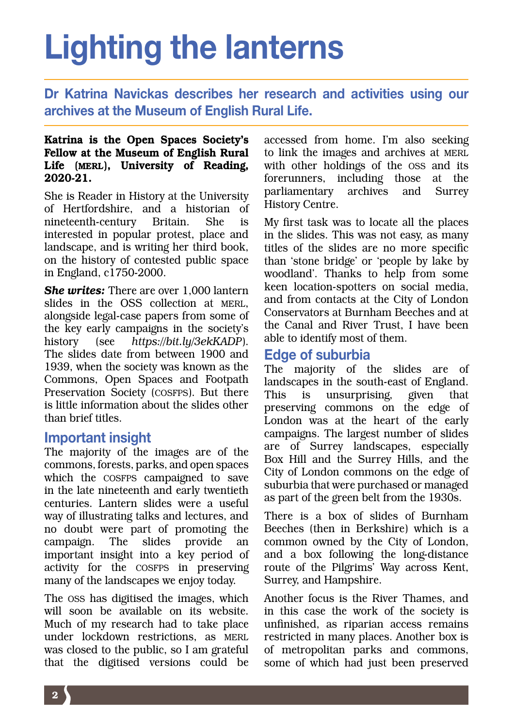### Lighting the lanterns

Dr Katrina Navickas describes her research and activities using our archives at the Museum of English Rural Life.

#### Katrina is the Open Spaces Society's Fellow at the Museum of English Rural Life (MERL), University of Reading, 2020-21.

She is Reader in History at the University of Hertfordshire, and a historian of nineteenth-century Britain. She is interested in popular protest, place and landscape, and is writing her third book, on the history of contested public space in England, c1750-2000.

*She writes: There are over 1,000 lantern* slides in the OSS collection at MERL, alongside legal-case papers from some of the key early campaigns in the society's history (see *https://bit.ly/3ekKADP*). The slides date from between 1900 and 1939, when the society was known as the Commons, Open Spaces and Footpath Preservation Society (COSFPS). But there is little information about the slides other than brief titles.

#### Important insight

The majority of the images are of the commons, forests, parks, and open spaces which the COSFPS campaigned to save in the late nineteenth and early twentieth centuries. Lantern slides were a useful way of illustrating talks and lectures, and no doubt were part of promoting the campaign. The slides provide an important insight into a key period of activity for the COSFPS in preserving many of the landscapes we enjoy today.

The OSS has digitised the images, which will soon be available on its website. Much of my research had to take place under lockdown restrictions, as MERL was closed to the public, so I am grateful that the digitised versions could be accessed from home. I'm also seeking to link the images and archives at MERL with other holdings of the OSS and its forerunners, including those at the parliamentary archives and Surrey History Centre.

My first task was to locate all the places in the slides. This was not easy, as many titles of the slides are no more specific than 'stone bridge' or 'people by lake by woodland'. Thanks to help from some keen location-spotters on social media, and from contacts at the City of London Conservators at Burnham Beeches and at the Canal and River Trust, I have been able to identify most of them.

#### Edge of suburbia

The majority of the slides are of landscapes in the south-east of England. This is unsurprising, given that preserving commons on the edge of London was at the heart of the early campaigns. The largest number of slides are of Surrey landscapes, especially Box Hill and the Surrey Hills, and the City of London commons on the edge of suburbia that were purchased or managed as part of the green belt from the 1930s.

There is a box of slides of Burnham Beeches (then in Berkshire) which is a common owned by the City of London, and a box following the long-distance route of the Pilgrims' Way across Kent, Surrey, and Hampshire.

Another focus is the River Thames, and in this case the work of the society is unfinished, as riparian access remains restricted in many places. Another box is of metropolitan parks and commons, some of which had just been preserved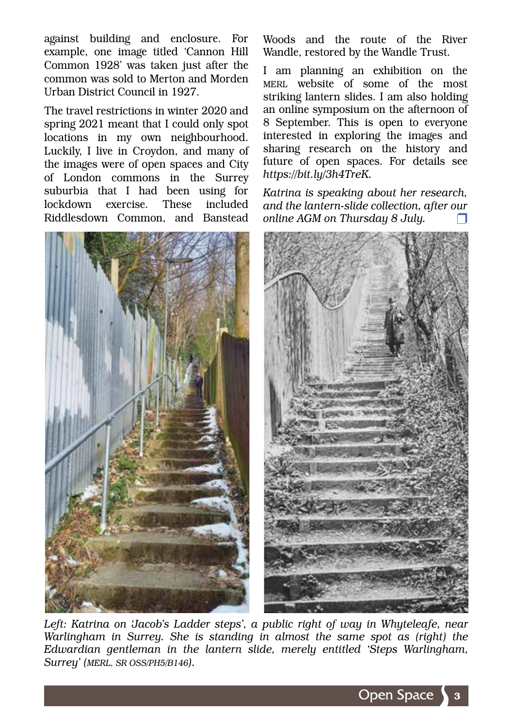against building and enclosure. For example, one image titled 'Cannon Hill Common 1928' was taken just after the common was sold to Merton and Morden Urban District Council in 1927.

The travel restrictions in winter 2020 and spring 2021 meant that I could only spot locations in my own neighbourhood. Luckily, I live in Croydon, and many of the images were of open spaces and City of London commons in the Surrey suburbia that I had been using for lockdown exercise. These included Riddlesdown Common, and Banstead



Woods and the route of the River Wandle, restored by the Wandle Trust.

I am planning an exhibition on the MERL website of some of the most striking lantern slides. I am also holding an online symposium on the afternoon of 8 September. This is open to everyone interested in exploring the images and sharing research on the history and future of open spaces. For details see *https://bit.ly/3h4TreK.*

*Katrina is speaking about her research, and the lantern-slide collection, after our online AGM on Thursday 8 July.* 



Left: Katrina on 'Jacob's Ladder steps', a public right of way in Whyteleafe, near *Warlingham in Surrey. She is standing in almost the same spot as (right) the Edwardian gentleman in the lantern slide, merely entitled 'Steps Warlingham, Surrey' (MERL, SR OSS/PH5/B146).*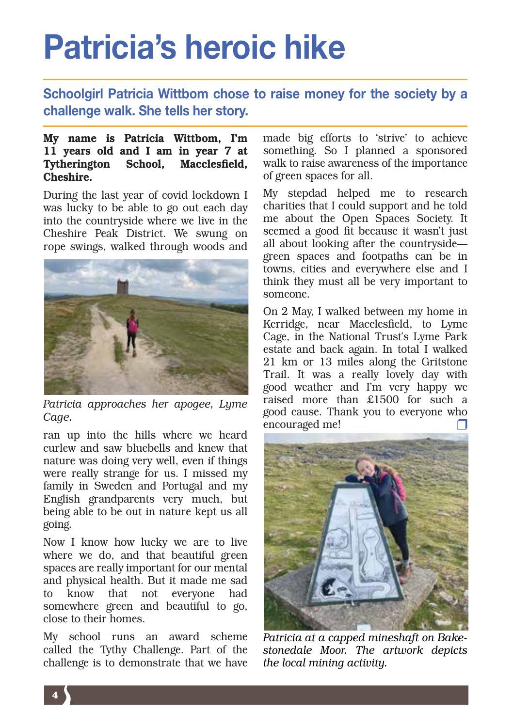### Patricia's heroic hike

Schoolgirl Patricia Wittbom chose to raise money for the society by a challenge walk. She tells her story.

#### My name is Patricia Wittbom, I'm 11 years old and I am in year 7 at Tytherington School, Macclesfield, Cheshire.

During the last year of covid lockdown I was lucky to be able to go out each day into the countryside where we live in the Cheshire Peak District. We swung on rope swings, walked through woods and



*Patricia approaches her apogee, Lyme Cage.*

ran up into the hills where we heard curlew and saw bluebells and knew that nature was doing very well, even if things were really strange for us. I missed my family in Sweden and Portugal and my English grandparents very much, but being able to be out in nature kept us all going.

Now I know how lucky we are to live where we do, and that beautiful green spaces are really important for our mental and physical health. But it made me sad to know that not everyone had somewhere green and beautiful to go, close to their homes.

My school runs an award scheme called the Tythy Challenge. Part of the challenge is to demonstrate that we have made big efforts to 'strive' to achieve something. So I planned a sponsored walk to raise awareness of the importance of green spaces for all.

My stepdad helped me to research charities that I could support and he told me about the Open Spaces Society. It seemed a good fit because it wasn't just all about looking after the countryside green spaces and footpaths can be in towns, cities and everywhere else and I think they must all be very important to someone.

On 2 May, I walked between my home in Kerridge, near Macclesfield, to Lyme Cage, in the National Trust's Lyme Park estate and back again. In total I walked 21 km or 13 miles along the Gritstone Trail. It was a really lovely day with good weather and I'm very happy we raised more than £1500 for such a good cause. Thank you to everyone who encouraged me!



*Patricia at a capped mineshaft on Bakestonedale Moor. The artwork depicts the local mining activity.*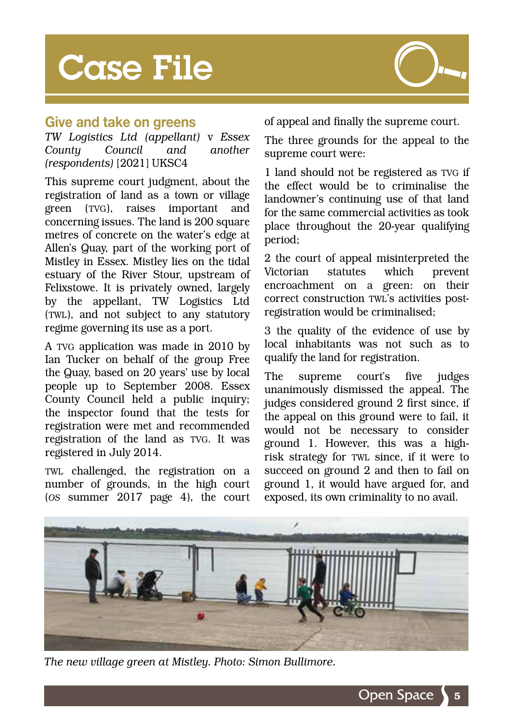### **Case File**



#### Give and take on greens

*TW Logistics Ltd (appellant)* v *Essex County Council and another (respondents)* [2021] UKSC4

This supreme court judgment, about the registration of land as a town or village green (TVG), raises important and concerning issues. The land is 200 square metres of concrete on the water's edge at Allen's Quay, part of the working port of Mistley in Essex. Mistley lies on the tidal estuary of the River Stour, upstream of Felixstowe. It is privately owned, largely by the appellant, TW Logistics Ltd (TWL), and not subject to any statutory regime governing its use as a port.

A TVG application was made in 2010 by Ian Tucker on behalf of the group Free the Quay, based on 20 years' use by local people up to September 2008. Essex County Council held a public inquiry; the inspector found that the tests for registration were met and recommended registration of the land as TVG. It was registered in July 2014.

TWL challenged, the registration on a number of grounds, in the high court (*OS* summer 2017 page 4), the court

of appeal and finally the supreme court.

The three grounds for the appeal to the supreme court were:

1 land should not be registered as TVG if the effect would be to criminalise the landowner's continuing use of that land for the same commercial activities as took place throughout the 20-year qualifying period;

2 the court of appeal misinterpreted the Victorian statutes which prevent encroachment on a green: on their correct construction TWL's activities postregistration would be criminalised;

3 the quality of the evidence of use by local inhabitants was not such as to qualify the land for registration.

The supreme court's five judges unanimously dismissed the appeal. The judges considered ground 2 first since, if the appeal on this ground were to fail, it would not be necessary to consider ground 1. However, this was a highrisk strategy for TWL since, if it were to succeed on ground 2 and then to fail on ground 1, it would have argued for, and exposed, its own criminality to no avail.



*The new village green at Mistley. Photo: Simon Bullimore.*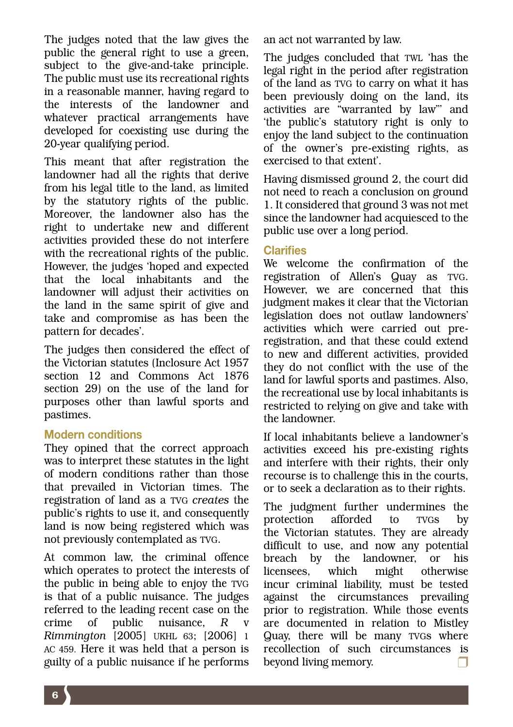The judges noted that the law gives the public the general right to use a green, subject to the give-and-take principle. The public must use its recreational rights in a reasonable manner, having regard to the interests of the landowner and whatever practical arrangements have developed for coexisting use during the 20-year qualifying period.

This meant that after registration the landowner had all the rights that derive from his legal title to the land, as limited by the statutory rights of the public. Moreover, the landowner also has the right to undertake new and different activities provided these do not interfere with the recreational rights of the public. However, the judges 'hoped and expected that the local inhabitants and the landowner will adjust their activities on the land in the same spirit of give and take and compromise as has been the pattern for decades'.

The judges then considered the effect of the Victorian statutes (Inclosure Act 1957 section 12 and Commons Act 1876 section 29) on the use of the land for purposes other than lawful sports and pastimes.

#### Modern conditions

They opined that the correct approach was to interpret these statutes in the light of modern conditions rather than those that prevailed in Victorian times. The registration of land as a TVG *creates* the public's rights to use it, and consequently land is now being registered which was not previously contemplated as TVG.

At common law, the criminal offence which operates to protect the interests of the public in being able to enjoy the TVG is that of a public nuisance. The judges referred to the leading recent case on the crime of public nuisance. R *Rimmington* [2005] UKHL 63; [2006] 1 AC 459. Here it was held that a person is guilty of a public nuisance if he performs an act not warranted by law.

The judges concluded that TWL 'has the legal right in the period after registration of the land as TVG to carry on what it has been previously doing on the land, its activities are "warranted by law"' and 'the public's statutory right is only to enjoy the land subject to the continuation of the owner's pre-existing rights, as exercised to that extent'.

Having dismissed ground 2, the court did not need to reach a conclusion on ground 1. It considered that ground 3 was not met since the landowner had acquiesced to the public use over a long period.

#### **Clarifies**

We welcome the confirmation of the registration of Allen's Quay as TVG. However, we are concerned that this judgment makes it clear that the Victorian legislation does not outlaw landowners' activities which were carried out preregistration, and that these could extend to new and different activities, provided they do not conflict with the use of the land for lawful sports and pastimes. Also, the recreational use by local inhabitants is restricted to relying on give and take with the landowner.

If local inhabitants believe a landowner's activities exceed his pre-existing rights and interfere with their rights, their only recourse is to challenge this in the courts, or to seek a declaration as to their rights.

The judgment further undermines the protection afforded to TVGs by the Victorian statutes. They are already difficult to use, and now any potential breach by the landowner, or his licensees, which might otherwise incur criminal liability, must be tested against the circumstances prevailing prior to registration. While those events are documented in relation to Mistley Quay, there will be many TVGs where recollection of such circumstances is beyond living memory.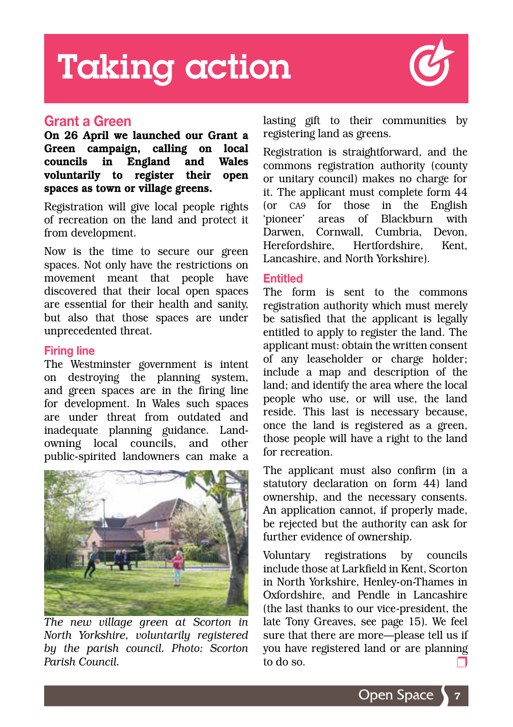### Taking action



#### Grant a Green

On 26 April we launched our Grant a Green campaign, calling on local councils in England and Wales voluntarily to register their open spaces as town or village greens.

Registration will give local people rights of recreation on the land and protect it from development.

Now is the time to secure our green spaces. Not only have the restrictions on movement meant that people have discovered that their local open spaces are essential for their health and sanity, but also that those spaces are under unprecedented threat.

#### Firing line

The Westminster government is intent on destroying the planning system, and green spaces are in the firing line for development. In Wales such spaces are under threat from outdated and inadequate planning guidance. Landowning local councils, and other public-spirited landowners can make a



*The new village green at Scorton in North Yorkshire, voluntarily registered by the parish council. Photo: Scorton Parish Council.*

lasting gift to their communities by registering land as greens.

Registration is straightforward, and the commons registration authority (county or unitary council) makes no charge for it. The applicant must complete form 44 (or CA9 for those in the English 'pioneer' areas of Blackburn with Darwen, Cornwall, Cumbria, Devon, Herefordshire Hertfordshire Kent Lancashire, and North Yorkshire).

#### Entitled

The form is sent to the commons registration authority which must merely be satisfied that the applicant is legally entitled to apply to register the land. The applicant must: obtain the written consent of any leaseholder or charge holder; include a map and description of the land; and identify the area where the local people who use, or will use, the land reside. This last is necessary because, once the land is registered as a green, those people will have a right to the land for recreation.

The applicant must also confirm (in a statutory declaration on form 44) land ownership, and the necessary consents. An application cannot, if properly made, be rejected but the authority can ask for further evidence of ownership.

Voluntary registrations by councils include those at Larkfield in Kent, Scorton in North Yorkshire, Henley-on-Thames in Oxfordshire, and Pendle in Lancashire (the last thanks to our vice-president, the late Tony Greaves, see page 15). We feel sure that there are more—please tell us if you have registered land or are planning to do so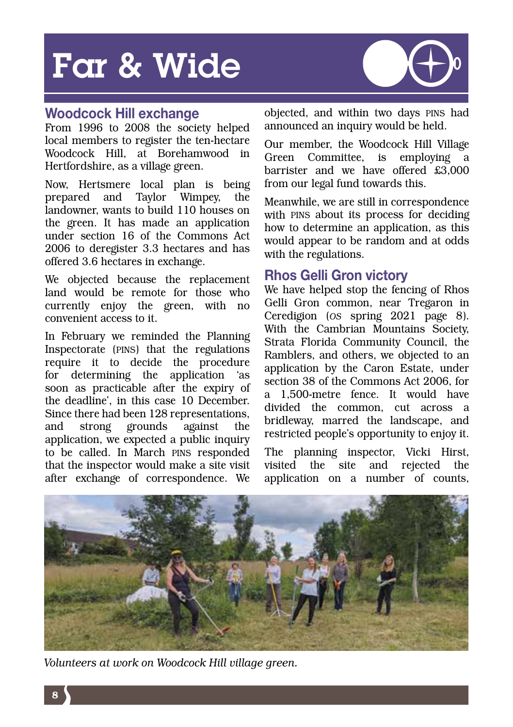### Far & Wide



#### Woodcock Hill exchange

From 1996 to 2008 the society helped local members to register the ten-hectare Woodcock Hill, at Borehamwood in Hertfordshire, as a village green.

Now, Hertsmere local plan is being prepared and Taylor Wimpey, the landowner, wants to build 110 houses on the green. It has made an application under section 16 of the Commons Act 2006 to deregister 3.3 hectares and has offered 3.6 hectares in exchange.

We objected because the replacement land would be remote for those who currently enjoy the green, with no convenient access to it.

In February we reminded the Planning Inspectorate (PINS) that the regulations require it to decide the procedure for determining the application 'as soon as practicable after the expiry of the deadline', in this case 10 December. Since there had been 128 representations, and strong grounds against the application, we expected a public inquiry to be called. In March PINS responded that the inspector would make a site visit after exchange of correspondence. We

objected, and within two days PINS had announced an inquiry would be held.

Our member, the Woodcock Hill Village Green Committee, is employing barrister and we have offered £3,000 from our legal fund towards this.

Meanwhile, we are still in correspondence with PINS about its process for deciding how to determine an application, as this would appear to be random and at odds with the regulations.

#### Rhos Gelli Gron victory

We have helped stop the fencing of Rhos Gelli Gron common, near Tregaron in Ceredigion (*OS* spring 2021 page 8). With the Cambrian Mountains Society, Strata Florida Community Council, the Ramblers, and others, we objected to an application by the Caron Estate, under section 38 of the Commons Act 2006, for a 1,500-metre fence. It would have divided the common, cut across a bridleway, marred the landscape, and restricted people's opportunity to enjoy it.

The planning inspector, Vicki Hirst, visited the site and rejected the application on a number of counts,



*Volunteers at work on Woodcock Hill village green.*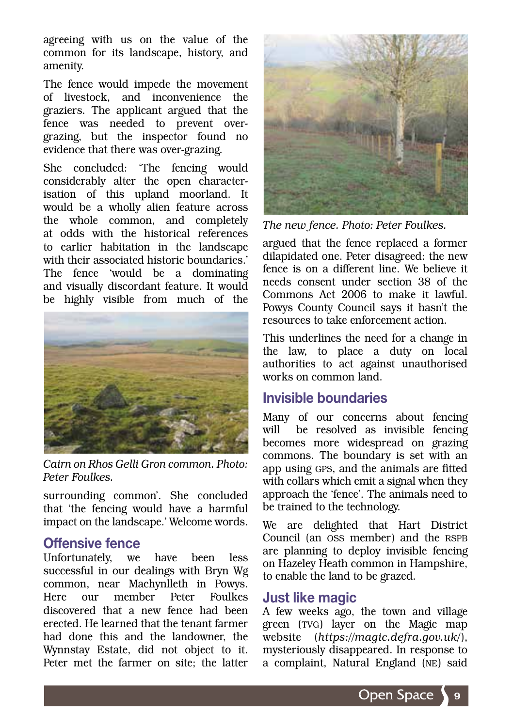agreeing with us on the value of the common for its landscape, history, and amenity.

The fence would impede the movement of livestock, and inconvenience the graziers. The applicant argued that the fence was needed to prevent overgrazing, but the inspector found no evidence that there was over-grazing.

She concluded: 'The fencing would considerably alter the open characterisation of this upland moorland. It would be a wholly alien feature across the whole common, and completely at odds with the historical references to earlier habitation in the landscape with their associated historic boundaries.' The fence 'would be a dominating and visually discordant feature. It would be highly visible from much of the

![](_page_10_Picture_3.jpeg)

*Cairn on Rhos Gelli Gron common. Photo: Peter Foulkes.*

surrounding common'. She concluded that 'the fencing would have a harmful impact on the landscape.' Welcome words.

#### Offensive fence

Unfortunately, we have been less successful in our dealings with Bryn Wg common, near Machynlleth in Powys. Here our member Peter Foulkes discovered that a new fence had been erected. He learned that the tenant farmer had done this and the landowner, the Wynnstay Estate, did not object to it. Peter met the farmer on site; the latter

![](_page_10_Picture_8.jpeg)

*The new fence. Photo: Peter Foulkes.*

argued that the fence replaced a former dilapidated one. Peter disagreed: the new fence is on a different line. We believe it needs consent under section 38 of the Commons Act 2006 to make it lawful. Powys County Council says it hasn't the resources to take enforcement action.

This underlines the need for a change in the law, to place a duty on local authorities to act against unauthorised works on common land.

#### Invisible boundaries

Many of our concerns about fencing will be resolved as invisible fencing becomes more widespread on grazing commons. The boundary is set with an app using GPS, and the animals are fitted with collars which emit a signal when they approach the 'fence'. The animals need to be trained to the technology.

We are delighted that Hart District Council (an OSS member) and the RSPB are planning to deploy invisible fencing on Hazeley Heath common in Hampshire, to enable the land to be grazed.

#### Just like magic

A few weeks ago, the town and village green (TVG) layer on the Magic map website (*https://magic.defra.gov.uk/*), mysteriously disappeared. In response to a complaint, Natural England (NE) said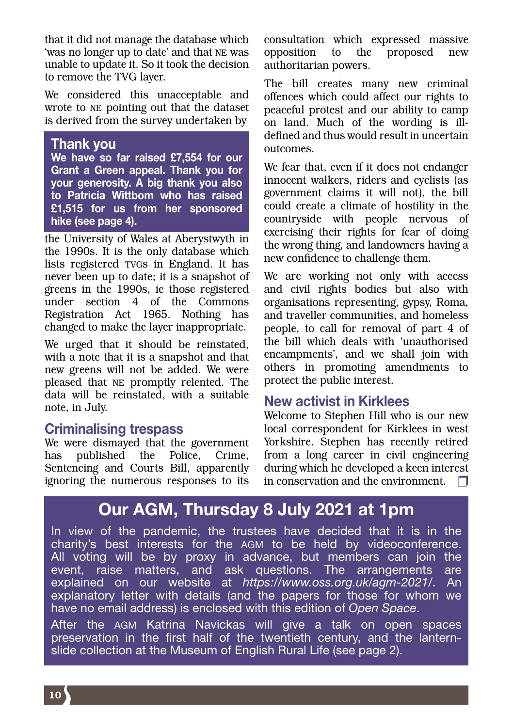that it did not manage the database which 'was no longer up to date' and that NE was unable to update it. So it took the decision to remove the TVG layer.

We considered this unacceptable and wrote to NE pointing out that the dataset is derived from the survey undertaken by

#### Thank you

We have so far raised £7,554 for our Grant a Green appeal. Thank you for your generosity. A big thank you also to Patricia Wittbom who has raised £1,515 for us from her sponsored hike (see page 4).

the University of Wales at Aberystwyth in the 1990s. It is the only database which lists registered TVGs in England. It has never been up to date; it is a snapshot of greens in the 1990s, ie those registered under section 4 of the Commons Registration Act 1965. Nothing has changed to make the layer inappropriate.

We urged that it should be reinstated, with a note that it is a snapshot and that new greens will not be added. We were pleased that NE promptly relented. The data will be reinstated, with a suitable note, in July.

#### Criminalising trespass

We were dismayed that the government has published the Police, Crime, Sentencing and Courts Bill, apparently ignoring the numerous responses to its

consultation which expressed massive opposition to the proposed new authoritarian powers.

The bill creates many new criminal offences which could affect our rights to peaceful protest and our ability to camp on land. Much of the wording is illdefined and thus would result in uncertain outcomes.

We fear that, even if it does not endanger innocent walkers, riders and cyclists (as government claims it will not), the bill could create a climate of hostility in the countryside with people nervous of exercising their rights for fear of doing the wrong thing, and landowners having a new confidence to challenge them.

We are working not only with access and civil rights bodies but also with organisations representing, gypsy, Roma, and traveller communities, and homeless people, to call for removal of part 4 of the bill which deals with 'unauthorised encampments', and we shall join with others in promoting amendments to protect the public interest.

#### New activist in Kirklees

Welcome to Stephen Hill who is our new local correspondent for Kirklees in west Yorkshire. Stephen has recently retired from a long career in civil engineering during which he developed a keen interest in conservation and the environment.  $\Box$ 

### Our AGM, Thursday 8 July 2021 at 1pm

In view of the pandemic, the trustees have decided that it is in the charity's best interests for the AGM to be held by videoconference. All voting will be by proxy in advance, but members can join the event, raise matters, and ask questions. The arrangements are explained on our website at *https://www.oss.org.uk/agm-2021/*. An explanatory letter with details (and the papers for those for whom we have no email address) is enclosed with this edition of *Open Space*.

After the AGM Katrina Navickas will give a talk on open spaces preservation in the first half of the twentieth century, and the lanternslide collection at the Museum of English Rural Life (see page 2).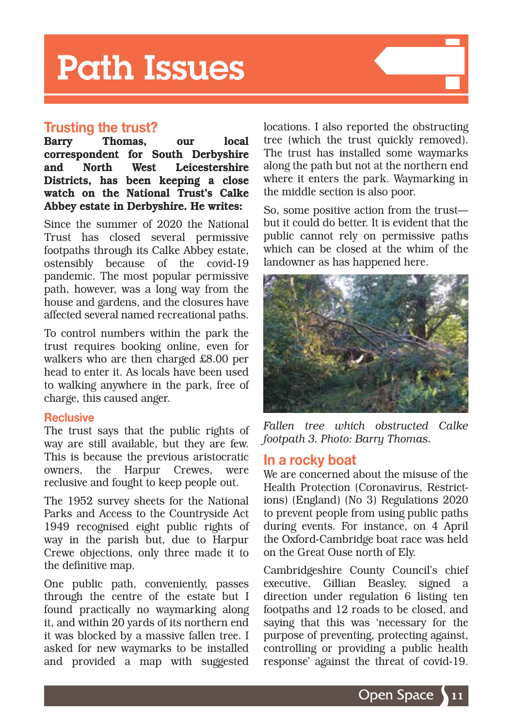### Path Issues

#### Trusting the trust?

Barry Thomas, our local correspondent for South Derbyshire and North West Leicestershire Districts, has been keeping a close watch on the National Trust's Calke Abbey estate in Derbyshire. He writes:

Since the summer of 2020 the National Trust has closed several permissive footpaths through its Calke Abbey estate, ostensibly because of the covid-19 pandemic. The most popular permissive path, however, was a long way from the house and gardens, and the closures have affected several named recreational paths.

To control numbers within the park the trust requires booking online, even for walkers who are then charged £8.00 per head to enter it. As locals have been used to walking anywhere in the park, free of charge, this caused anger.

#### **Reclusive**

The trust says that the public rights of way are still available, but they are few. This is because the previous aristocratic owners, the Harpur Crewes, were reclusive and fought to keep people out.

The 1952 survey sheets for the National Parks and Access to the Countryside Act 1949 recognised eight public rights of way in the parish but, due to Harpur Crewe objections, only three made it to the definitive map.

One public path, conveniently, passes through the centre of the estate but I found practically no waymarking along it, and within 20 yards of its northern end it was blocked by a massive fallen tree. I asked for new waymarks to be installed and provided a map with suggested locations. I also reported the obstructing tree (which the trust quickly removed). The trust has installed some waymarks along the path but not at the northern end where it enters the park. Waymarking in the middle section is also poor.

So, some positive action from the trust but it could do better. It is evident that the public cannot rely on permissive paths which can be closed at the whim of the landowner as has happened here.

![](_page_12_Picture_11.jpeg)

*Fallen tree which obstructed Calke footpath 3. Photo: Barry Thomas.*

#### In a rocky boat

We are concerned about the misuse of the Health Protection (Coronavirus, Restrictions) (England) (No 3) Regulations 2020 to prevent people from using public paths during events. For instance, on 4 April the Oxford-Cambridge boat race was held on the Great Ouse north of Ely.

Cambridgeshire County Council's chief executive, Gillian Beasley, signed a direction under regulation 6 listing ten footpaths and 12 roads to be closed, and saying that this was 'necessary for the purpose of preventing, protecting against, controlling or providing a public health response' against the threat of covid-19.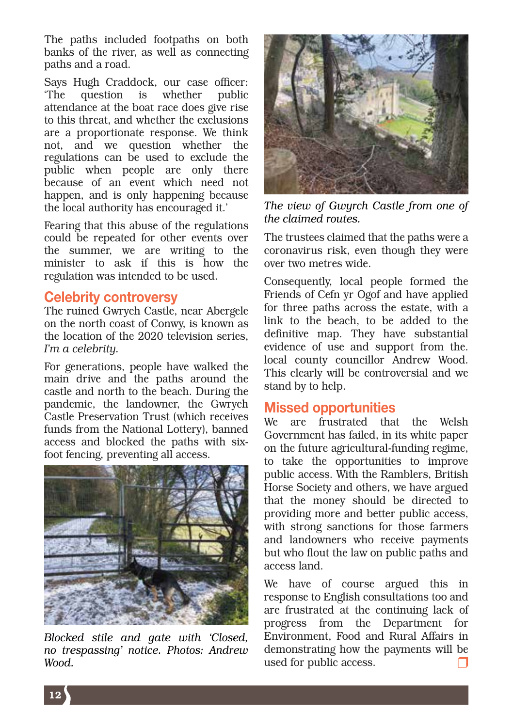The paths included footpaths on both banks of the river, as well as connecting paths and a road.

Says Hugh Craddock, our case officer: 'The question is whether public attendance at the boat race does give rise to this threat, and whether the exclusions are a proportionate response. We think not, and we question whether the regulations can be used to exclude the public when people are only there because of an event which need not happen, and is only happening because the local authority has encouraged it.'

Fearing that this abuse of the regulations could be repeated for other events over the summer, we are writing to the minister to ask if this is how the regulation was intended to be used.

#### Celebrity controversy

The ruined Gwrych Castle, near Abergele on the north coast of Conwy, is known as the location of the 2020 television series, *I'm a celebrity.*

For generations, people have walked the main drive and the paths around the castle and north to the beach. During the pandemic, the landowner, the Gwrych Castle Preservation Trust (which receives funds from the National Lottery), banned access and blocked the paths with sixfoot fencing, preventing all access.

![](_page_13_Picture_6.jpeg)

*Blocked stile and gate with 'Closed, no trespassing' notice. Photos: Andrew Wood.*

![](_page_13_Picture_8.jpeg)

*The view of Gwyrch Castle from one of the claimed routes.* 

The trustees claimed that the paths were a coronavirus risk, even though they were over two metres wide.

Consequently, local people formed the Friends of Cefn yr Ogof and have applied for three paths across the estate, with a link to the beach, to be added to the definitive map. They have substantial evidence of use and support from the. local county councillor Andrew Wood. This clearly will be controversial and we stand by to help.

#### Missed opportunities

We are frustrated that the Welsh Government has failed, in its white paper on the future agricultural-funding regime, to take the opportunities to improve public access. With the Ramblers, British Horse Society and others, we have argued that the money should be directed to providing more and better public access, with strong sanctions for those farmers and landowners who receive payments but who flout the law on public paths and access land.

We have of course argued this in response to English consultations too and are frustrated at the continuing lack of progress from the Department for Environment, Food and Rural Affairs in demonstrating how the payments will be used for public access.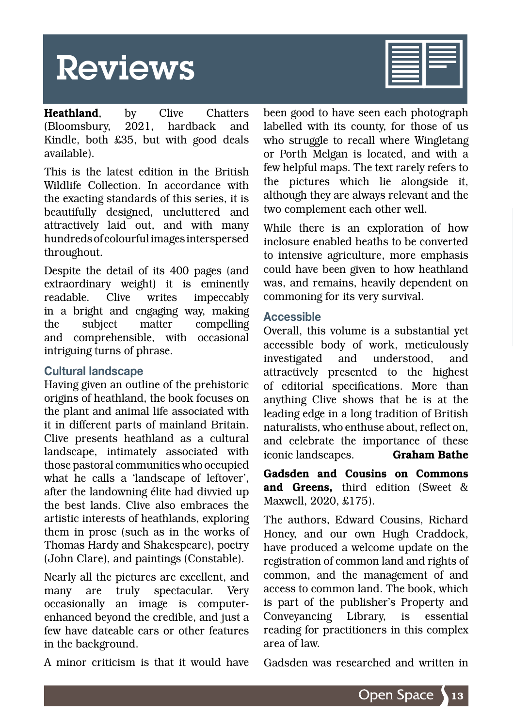### Reviews

**Heathland**, by Clive Chatters<br>(Bloomsbury 2021, hardback and (Bloomsbury, 2021, hardback and Kindle, both £35, but with good deals available).

This is the latest edition in the British Wildlife Collection. In accordance with the exacting standards of this series, it is beautifully designed, uncluttered and attractively laid out, and with many hundreds of colourful images interspersed throughout.

Despite the detail of its 400 pages (and extraordinary weight) it is eminently readable. Clive writes impeccably in a bright and engaging way, making the subject matter compelling and comprehensible, with occasional intriguing turns of phrase.

#### Cultural landscape

Having given an outline of the prehistoric origins of heathland, the book focuses on the plant and animal life associated with it in different parts of mainland Britain. Clive presents heathland as a cultural landscape, intimately associated with those pastoral communities who occupied what he calls a 'landscape of leftover', after the landowning élite had divvied up the best lands. Clive also embraces the artistic interests of heathlands, exploring them in prose (such as in the works of Thomas Hardy and Shakespeare), poetry (John Clare), and paintings (Constable).

Nearly all the pictures are excellent, and many are truly spectacular. Very occasionally an image is computerenhanced beyond the credible, and just a few have dateable cars or other features in the background.

A minor criticism is that it would have

been good to have seen each photograph labelled with its county, for those of us who struggle to recall where Wingletang or Porth Melgan is located, and with a few helpful maps. The text rarely refers to the pictures which lie alongside it, although they are always relevant and the two complement each other well.

While there is an exploration of how inclosure enabled heaths to be converted to intensive agriculture, more emphasis could have been given to how heathland was, and remains, heavily dependent on commoning for its very survival.

#### Accessible

Overall, this volume is a substantial yet accessible body of work, meticulously investigated and understood, and attractively presented to the highest of editorial specifications. More than anything Clive shows that he is at the leading edge in a long tradition of British naturalists, who enthuse about, reflect on, and celebrate the importance of these iconic landscapes. Graham Bathe

Gadsden and Cousins on Commons and Greens, third edition (Sweet & Maxwell, 2020, £175).

The authors, Edward Cousins, Richard Honey, and our own Hugh Craddock, have produced a welcome update on the registration of common land and rights of common, and the management of and access to common land. The book, which is part of the publisher's Property and Conveyancing Library, is essential reading for practitioners in this complex area of law.

Gadsden was researched and written in

![](_page_14_Picture_15.jpeg)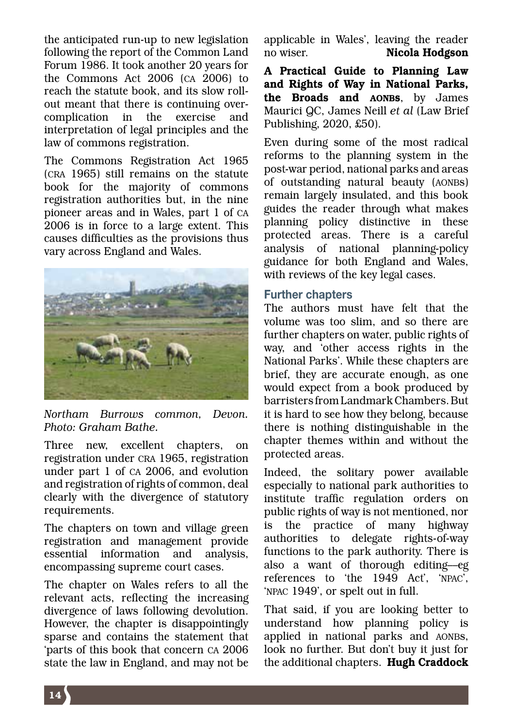the anticipated run-up to new legislation following the report of the Common Land Forum 1986. It took another 20 years for the Commons Act 2006 (CA 2006) to reach the statute book, and its slow rollout meant that there is continuing overcomplication in the exercise and interpretation of legal principles and the law of commons registration.

The Commons Registration Act 1965 (CRA 1965) still remains on the statute book for the majority of commons registration authorities but, in the nine pioneer areas and in Wales, part 1 of CA 2006 is in force to a large extent. This causes difficulties as the provisions thus vary across England and Wales.

![](_page_15_Picture_2.jpeg)

*Northam Burrows common, Devon. Photo: Graham Bathe.*

Three new, excellent chapters, on registration under CRA 1965, registration under part 1 of CA 2006, and evolution and registration of rights of common, deal clearly with the divergence of statutory requirements.

The chapters on town and village green registration and management provide essential information and analysis, encompassing supreme court cases.

The chapter on Wales refers to all the relevant acts, reflecting the increasing divergence of laws following devolution. However, the chapter is disappointingly sparse and contains the statement that 'parts of this book that concern CA 2006 state the law in England, and may not be

applicable in Wales', leaving the reader no wiser. Nicola Hodgson

A Practical Guide to Planning Law and Rights of Way in National Parks, the Broads and AONBs, by James Maurici QC, James Neill *et al* (Law Brief Publishing, 2020, £50).

Even during some of the most radical reforms to the planning system in the post-war period, national parks and areas of outstanding natural beauty (AONBs) remain largely insulated, and this book guides the reader through what makes planning policy distinctive in these protected areas. There is a careful analysis of national planning-policy guidance for both England and Wales, with reviews of the key legal cases.

#### Further chapters

The authors must have felt that the volume was too slim, and so there are further chapters on water, public rights of way, and 'other access rights in the National Parks'. While these chapters are brief, they are accurate enough, as one would expect from a book produced by barristers from Landmark Chambers. But it is hard to see how they belong, because there is nothing distinguishable in the chapter themes within and without the protected areas.

Indeed, the solitary power available especially to national park authorities to institute traffic regulation orders on public rights of way is not mentioned, nor is the practice of many highway authorities to delegate rights-of-way functions to the park authority. There is also a want of thorough editing––eg references to 'the 1949 Act', 'NPAC', 'NPAC 1949', or spelt out in full.

That said, if you are looking better to understand how planning policy is applied in national parks and AONBs, look no further. But don't buy it just for the additional chapters. Hugh Craddock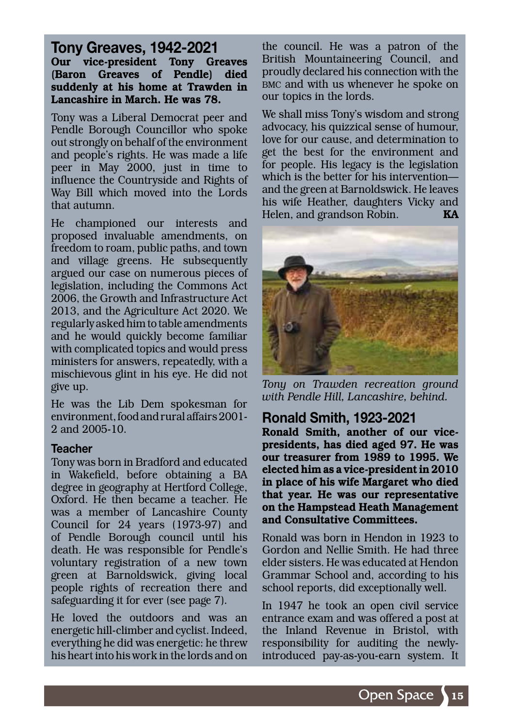Tony Greaves, 1942-2021 Our vice-president Tony Greaves (Baron Greaves of Pendle) died suddenly at his home at Trawden in Lancashire in March. He was 78.

Tony was a Liberal Democrat peer and Pendle Borough Councillor who spoke out strongly on behalf of the environment and people's rights. He was made a life peer in May 2000, just in time to influence the Countryside and Rights of Way Bill which moved into the Lords that autumn.

He championed our interests and proposed invaluable amendments, on freedom to roam, public paths, and town and village greens. He subsequently argued our case on numerous pieces of legislation, including the Commons Act 2006, the Growth and Infrastructure Act 2013, and the Agriculture Act 2020. We regularly asked him to table amendments and he would quickly become familiar with complicated topics and would press ministers for answers, repeatedly, with a mischievous glint in his eye. He did not give up.

He was the Lib Dem spokesman for environment, food and rural affairs 2001- 2 and 2005-10.

#### **Teacher**

Tony was born in Bradford and educated in Wakefield, before obtaining a BA degree in geography at Hertford College, Oxford. He then became a teacher. He was a member of Lancashire County Council for 24 years (1973-97) and of Pendle Borough council until his death. He was responsible for Pendle's voluntary registration of a new town green at Barnoldswick, giving local people rights of recreation there and safeguarding it for ever (see page 7).

He loved the outdoors and was an energetic hill-climber and cyclist. Indeed, everything he did was energetic: he threw his heart into his work in the lords and on

the council. He was a patron of the British Mountaineering Council, and proudly declared his connection with the BMC and with us whenever he spoke on our topics in the lords.

We shall miss Tony's wisdom and strong advocacy, his quizzical sense of humour, love for our cause, and determination to get the best for the environment and for people. His legacy is the legislation which is the better for his intervention–– and the green at Barnoldswick. He leaves his wife Heather, daughters Vicky and Helen, and grandson Robin. **KA** 

![](_page_16_Picture_9.jpeg)

*Tony on Trawden recreation ground with Pendle Hill, Lancashire, behind.*

#### Ronald Smith, 1923-2021

Ronald Smith, another of our vicepresidents, has died aged 97. He was our treasurer from 1989 to 1995. We elected him as a vice-president in 2010 in place of his wife Margaret who died that year. He was our representative on the Hampstead Heath Management and Consultative Committees.

Ronald was born in Hendon in 1923 to Gordon and Nellie Smith. He had three elder sisters. He was educated at Hendon Grammar School and, according to his school reports, did exceptionally well.

In 1947 he took an open civil service entrance exam and was offered a post at the Inland Revenue in Bristol, with responsibility for auditing the newlyintroduced pay-as-you-earn system. It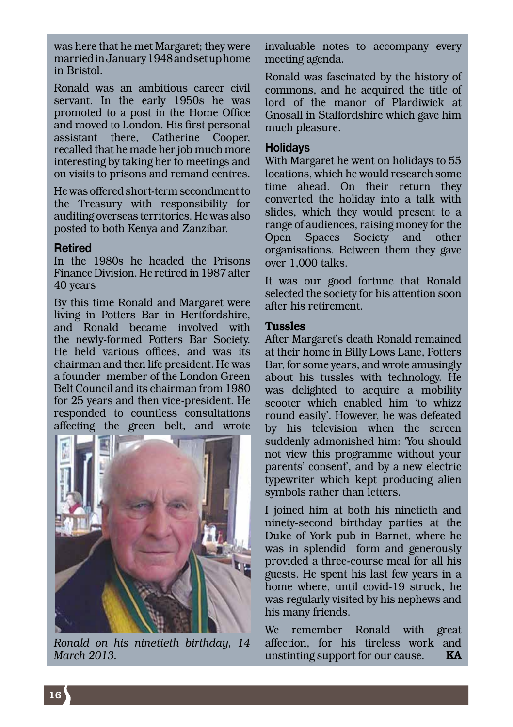was here that he met Margaret; they were married in January 1948 and set up home in Bristol.

Ronald was an ambitious career civil servant. In the early 1950s he was promoted to a post in the Home Office and moved to London. His first personal assistant there, Catherine Cooper, recalled that he made her job much more interesting by taking her to meetings and on visits to prisons and remand centres.

He was offered short-term secondment to the Treasury with responsibility for auditing overseas territories. He was also posted to both Kenya and Zanzibar.

#### Retired

In the 1980s he headed the Prisons Finance Division. He retired in 1987 after 40 years

By this time Ronald and Margaret were living in Potters Bar in Hertfordshire, and Ronald became involved with the newly-formed Potters Bar Society. He held various offices, and was its chairman and then life president. He was a founder member of the London Green Belt Council and its chairman from 1980 for 25 years and then vice-president. He responded to countless consultations affecting the green belt, and wrote

![](_page_17_Picture_6.jpeg)

*Ronald on his ninetieth birthday, 14 March 2013.*

invaluable notes to accompany every meeting agenda.

Ronald was fascinated by the history of commons, and he acquired the title of lord of the manor of Plardiwick at Gnosall in Staffordshire which gave him much pleasure.

#### **Holidays**

With Margaret he went on holidays to 55 locations, which he would research some time ahead. On their return they converted the holiday into a talk with slides, which they would present to a range of audiences, raising money for the Open Spaces Society and other organisations. Between them they gave over 1,000 talks.

It was our good fortune that Ronald selected the society for his attention soon after his retirement.

#### Tussles

After Margaret's death Ronald remained at their home in Billy Lows Lane, Potters Bar, for some years, and wrote amusingly about his tussles with technology. He was delighted to acquire a mobility scooter which enabled him 'to whizz round easily'. However, he was defeated by his television when the screen suddenly admonished him: 'You should not view this programme without your parents' consent', and by a new electric typewriter which kept producing alien symbols rather than letters.

I joined him at both his ninetieth and ninety-second birthday parties at the Duke of York pub in Barnet, where he was in splendid form and generously provided a three-course meal for all his guests. He spent his last few years in a home where, until covid-19 struck, he was regularly visited by his nephews and his many friends.

We remember Ronald with great affection, for his tireless work and unstinting support for our cause.  $KA$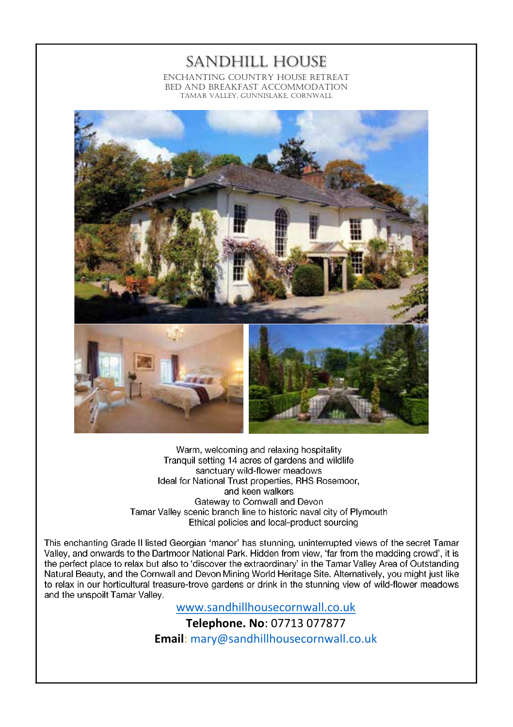SANDHILL HOUSE ENCHANTING COUNTRY HOUSE RETREAT BED AND BREAKFAST ACCOMMODATION TAMAR VALLEY, GUNNISLAKE, CORNWALL

![](_page_18_Picture_1.jpeg)

Warm, welcoming and relaxing hospitality Tranquil setting 14 acres of gardens and wildlife sanctuary wild-flower meadows Ideal for National Trust properties, RHS Rosemoor, and keen walkers Gateway to Cornwall and Devon Tamar Valley scenic branch line to historic naval city of Plymouth Ethical policies and local-product sourcing

This enchanting Grade II listed Georgian 'manor' has stunning, uninterrupted views of the secret Tamar<br>Valley, and onwards to the Dartmoor National Park. Hidden from view, 'far from the madding crowd', it is the perfect place to relax but also to 'discover the extraordinary' in the Tamar Valley Area of Outstanding Natural Beauty, and the Cornwall and Devon Mining World Heritage Site. Alternatively, you might just like to relax in our horticultural treasure-trove gardens or drink in the stunning view of wild-flower meadows and the unspoilt Tamar Valley.

www.sandhillhousecornwall.co.uk

**Telephone. No**: 07713 077877 **Email**: mary@sandhillhousecornwall.co.uk